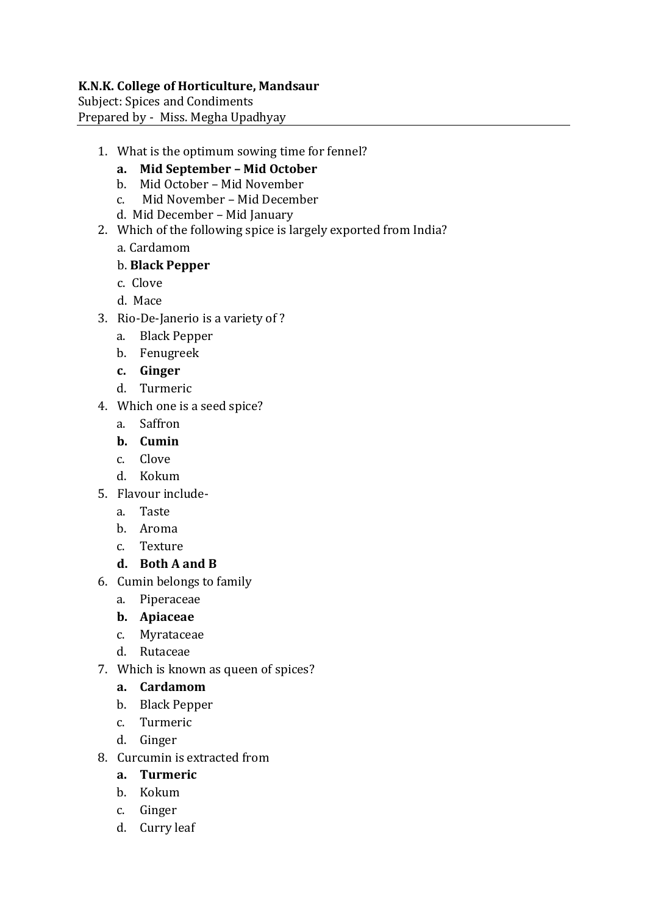#### **K.N.K. College of Horticulture, Mandsaur**

Subject: Spices and Condiments Prepared by - Miss. Megha Upadhyay

- 1. What is the optimum sowing time for fennel?
	- **a. Mid September – Mid October**
	- b. Mid October Mid November
	- c. Mid November Mid December
	- d. Mid December Mid January
- 2. Which of the following spice is largely exported from India?
	- a. Cardamom
	- b. **Black Pepper**
	- c. Clove
	- d. Mace
- 3. Rio-De-Janerio is a variety of ?
	- a. Black Pepper
	- b. Fenugreek
	- **c. Ginger**
	- d. Turmeric
- 4. Which one is a seed spice?
	- a. Saffron
	- **b. Cumin**
	- c. Clove
	- d. Kokum
- 5. Flavour include
	- a. Taste
	- b. Aroma
	- c. Texture
	- **d. Both A and B**
- 6. Cumin belongs to family
	- a. Piperaceae
	- **b. Apiaceae**
	- c. Myrataceae
	- d. Rutaceae
- 7. Which is known as queen of spices?

#### **a. Cardamom**

- b. Black Pepper
- c. Turmeric
- d. Ginger
- 8. Curcumin is extracted from
	- **a. Turmeric**
	- b. Kokum
	- c. Ginger
	- d. Curry leaf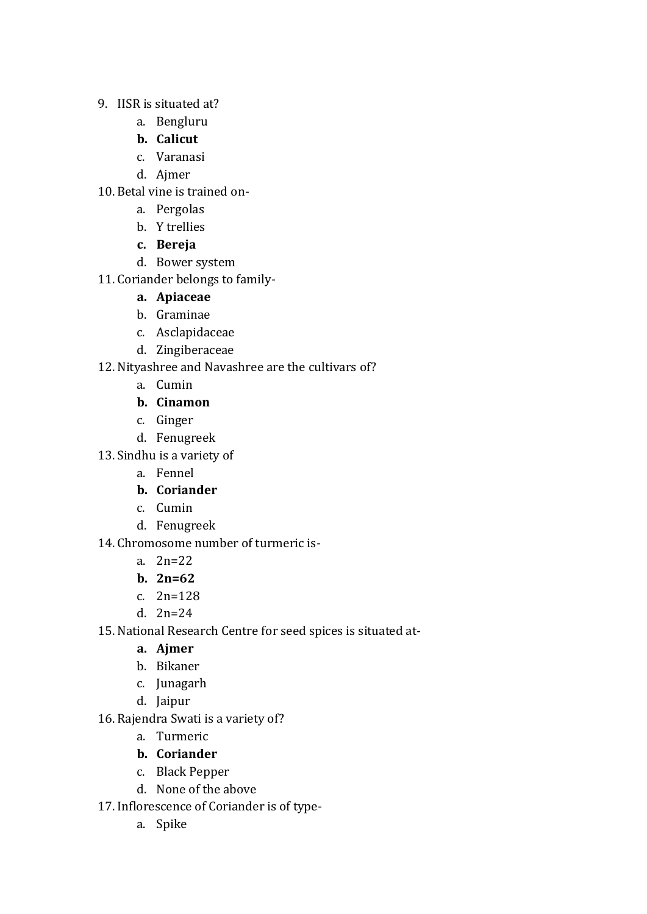- 9. IISR is situated at?
	- a. Bengluru
	- **b. Calicut**
	- c. Varanasi
	- d. Ajmer
- 10. Betal vine is trained on
	- a. Pergolas
	- b. Y trellies
	- **c. Bereja**
	- d. Bower system
- 11. Coriander belongs to family-

#### **a. Apiaceae**

- b. Graminae
- c. Asclapidaceae
- d. Zingiberaceae
- 12.Nityashree and Navashree are the cultivars of?
	- a. Cumin
	- **b. Cinamon**
	- c. Ginger
	- d. Fenugreek
- 13.Sindhu is a variety of
	- a. Fennel
	- **b. Coriander**
	- c. Cumin
	- d. Fenugreek
- 14. Chromosome number of turmeric is
	- a. 2n=22
	- **b. 2n=62**
	- c. 2n=128
	- d. 2n=24
- 15.National Research Centre for seed spices is situated at
	- **a. Ajmer**
	- b. Bikaner
	- c. Junagarh
	- d. Jaipur
- 16. Rajendra Swati is a variety of?
	- a. Turmeric
	- **b. Coriander**
	- c. Black Pepper
	- d. None of the above
- 17. Inflorescence of Coriander is of type
	- a. Spike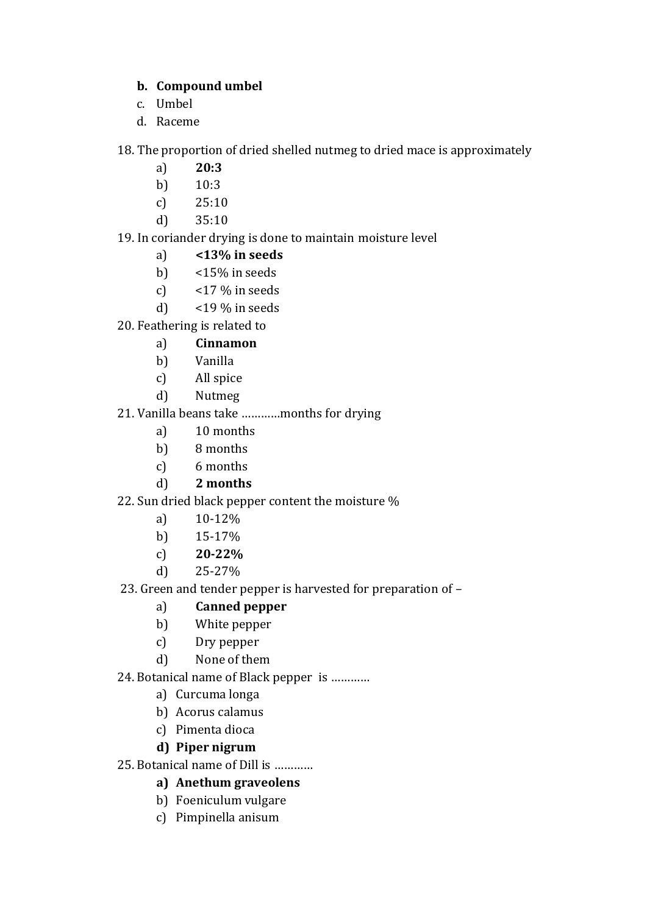#### **b. Compound umbel**

- c. Umbel
- d. Raceme

18. The proportion of dried shelled nutmeg to dried mace is approximately

- a) **20:3**
- b) 10:3
- c) 25:10
- d) 35:10
- 19. In coriander drying is done to maintain moisture level
	- a) **<13% in seeds**
	- b)  $<$  15% in seeds
	- c)  $<$  17 % in seeds
	- d)  $<$  19 % in seeds
- 20. Feathering is related to

# a) **Cinnamon**

- b) Vanilla
- c) All spice
- d) Nutmeg

# 21. Vanilla beans take …………months for drying

- a) 10 months
- b) 8 months
- c) 6 months
- d) **2 months**

# 22. Sun dried black pepper content the moisture %

- a) 10-12%
- b) 15-17%
- c) **20-22%**
- d) 25-27%
- 23. Green and tender pepper is harvested for preparation of –

# a) **Canned pepper**

- b) White pepper
- c) Dry pepper
- d) None of them
- 24. Botanical name of Black pepper is …………
	- a) Curcuma longa
	- b) Acorus calamus
	- c) Pimenta dioca

# **d) Piper nigrum**

#### 25. Botanical name of Dill is …………

- **a) Anethum graveolens**
- b) Foeniculum vulgare
- c) Pimpinella anisum